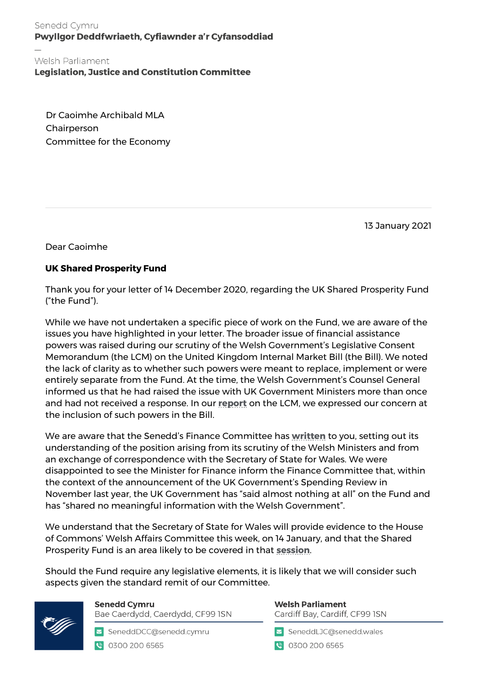Senedd Cymru Pwyllgor Deddfwriaeth, Cyfiawnder a'r Cyfansoddiad

Welsh Parliament

**Legislation, Justice and Constitution Committee** 

Dr Caoimhe Archibald MLA Chairperson Committee for the Economy

13 January 2021

Dear Caoimhe

## **UK Shared Prosperity Fund**

Thank you for your letter of 14 December 2020, regarding the UK Shared Prosperity Fund ("the Fund").

While we have not undertaken a specific piece of work on the Fund, we are aware of the issues you have highlighted in your letter. The broader issue of financial assistance powers was raised during our scrutiny of the Welsh Government's Legislative Consent Memorandum (the LCM) on the United Kingdom Internal Market Bill (the Bill). We noted the lack of clarity as to whether such powers were meant to replace, implement or were entirely separate from the Fund. At the time, the Welsh Government's Counsel General informed us that he had raised the issue with UK Government Ministers more than once and had not received a response. In our **[report](https://senedd.wales/laid%20documents/cr-ld13861/cr-ld13861-e.pdf)** on the LCM, we expressed our concern at the inclusion of such powers in the Bill.

We are aware that the Senedd's Finance Committee has **[written](https://business.senedd.wales/documents/s111193/Letter%20to%20the%20Chair%20of%20the%20Northern%20Ireland%20Assembly%20Committee%20for%20the%20Economy%20regarding%20the%20UK%20Shar.pdf)** to you, setting out its understanding of the position arising from its scrutiny of the Welsh Ministers and from an exchange of correspondence with the Secretary of State for Wales. We were disappointed to see the Minister for Finance inform the Finance Committee that, within the context of the announcement of the UK Government's Spending Review in November last year, the UK Government has "said almost nothing at all" on the Fund and has "shared no meaningful information with the Welsh Government".

We understand that the Secretary of State for Wales will provide evidence to the House of Commons' Welsh Affairs Committee this week, on 14 January, and that the Shared Prosperity Fund is an area likely to be covered in that **[session](https://committees.parliament.uk/committee/162/welsh-affairs-committee/news/138410/mps-to-question-welsh-secretary-on-vaccination-rollout-and-postbrexit-port-preparation-in-wales/)**.

Should the Fund require any legislative elements, it is likely that we will consider such aspects given the standard remit of our Committee.



**Senedd Cymru** Bae Caerdydd, Caerdydd, CF99 ISN

SeneddDCC@senedd.cymru ● 0300 200 6565

**Welsh Parliament** Cardiff Bay, Cardiff, CF99 ISN

SeneddLJC@senedd.wales

● 0300 200 6565